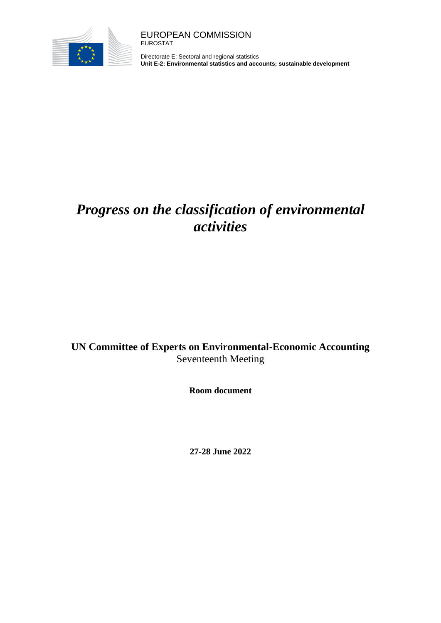

Directorate E: Sectoral and regional statistics **Unit E-2: Environmental statistics and accounts; sustainable development**

# *Progress on the classification of environmental activities*

### **UN Committee of Experts on Environmental-Economic Accounting** Seventeenth Meeting

**Room document**

**27-28 June 2022**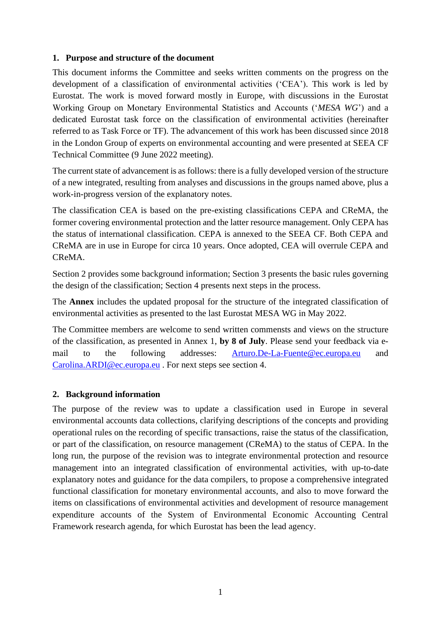#### **1. Purpose and structure of the document**

This document informs the Committee and seeks written comments on the progress on the development of a classification of environmental activities ('CEA'). This work is led by Eurostat. The work is moved forward mostly in Europe, with discussions in the Eurostat Working Group on Monetary Environmental Statistics and Accounts ('*MESA WG*') and a dedicated Eurostat task force on the classification of environmental activities (hereinafter referred to as Task Force or TF). The advancement of this work has been discussed since 2018 in the London Group of experts on environmental accounting and were presented at SEEA CF Technical Committee (9 June 2022 meeting).

The current state of advancement is as follows: there is a fully developed version of the structure of a new integrated, resulting from analyses and discussions in the groups named above, plus a work-in-progress version of the explanatory notes.

The classification CEA is based on the pre-existing classifications CEPA and CReMA, the former covering environmental protection and the latter resource management. Only CEPA has the status of international classification. CEPA is annexed to the SEEA CF. Both CEPA and CReMA are in use in Europe for circa 10 years. Once adopted, CEA will overrule CEPA and CReMA.

Section 2 provides some background information; Section 3 presents the basic rules governing the design of the classification; Section 4 presents next steps in the process.

The **Annex** includes the updated proposal for the structure of the integrated classification of environmental activities as presented to the last Eurostat MESA WG in May 2022.

The Committee members are welcome to send written commensts and views on the structure of the classification, as presented in Annex 1, **by 8 of July**. Please send your feedback via email to the following addresses: [Arturo.De-La-Fuente@ec.europa.eu](mailto:Arturo.De-La-Fuente@ec.europa.eu) and [Carolina.ARDI@ec.europa.eu](mailto:Carolina.ARDI@ec.europa.eu) . For next steps see section 4.

#### **2. Background information**

The purpose of the review was to update a classification used in Europe in several environmental accounts data collections, clarifying descriptions of the concepts and providing operational rules on the recording of specific transactions, raise the status of the classification, or part of the classification, on resource management (CReMA) to the status of CEPA. In the long run, the purpose of the revision was to integrate environmental protection and resource management into an integrated classification of environmental activities, with up-to-date explanatory notes and guidance for the data compilers, to propose a comprehensive integrated functional classification for monetary environmental accounts, and also to move forward the items on classifications of environmental activities and development of resource management expenditure accounts of the System of Environmental Economic Accounting Central Framework research agenda, for which Eurostat has been the lead agency.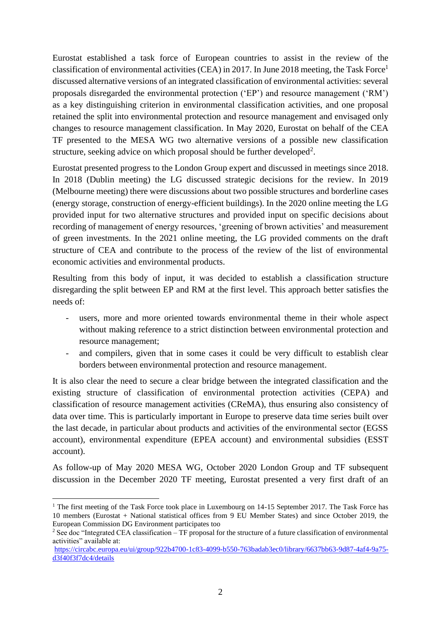Eurostat established a task force of European countries to assist in the review of the classification of environmental activities (CEA) in 2017. In June 2018 meeting, the Task Force<sup>1</sup> discussed alternative versions of an integrated classification of environmental activities: several proposals disregarded the environmental protection ('EP') and resource management ('RM') as a key distinguishing criterion in environmental classification activities, and one proposal retained the split into environmental protection and resource management and envisaged only changes to resource management classification. In May 2020, Eurostat on behalf of the CEA TF presented to the MESA WG two alternative versions of a possible new classification structure, seeking advice on which proposal should be further developed<sup>2</sup>.

Eurostat presented progress to the London Group expert and discussed in meetings since 2018. In 2018 (Dublin meeting) the LG discussed strategic decisions for the review. In 2019 (Melbourne meeting) there were discussions about two possible structures and borderline cases (energy storage, construction of energy-efficient buildings). In the 2020 online meeting the LG provided input for two alternative structures and provided input on specific decisions about recording of management of energy resources, 'greening of brown activities' and measurement of green investments. In the 2021 online meeting, the LG provided comments on the draft structure of CEA and contribute to the process of the review of the list of environmental economic activities and environmental products.

Resulting from this body of input, it was decided to establish a classification structure disregarding the split between EP and RM at the first level. This approach better satisfies the needs of:

- users, more and more oriented towards environmental theme in their whole aspect without making reference to a strict distinction between environmental protection and resource management;
- and compilers, given that in some cases it could be very difficult to establish clear borders between environmental protection and resource management.

It is also clear the need to secure a clear bridge between the integrated classification and the existing structure of classification of environmental protection activities (CEPA) and classification of resource management activities (CReMA), thus ensuring also consistency of data over time. This is particularly important in Europe to preserve data time series built over the last decade, in particular about products and activities of the environmental sector (EGSS account), environmental expenditure (EPEA account) and environmental subsidies (ESST account).

As follow-up of May 2020 MESA WG, October 2020 London Group and TF subsequent discussion in the December 2020 TF meeting, Eurostat presented a very first draft of an

<sup>&</sup>lt;sup>1</sup> The first meeting of the Task Force took place in Luxembourg on  $14-15$  September 2017. The Task Force has 10 members (Eurostat + National statistical offices from 9 EU Member States) and since October 2019, the European Commission DG Environment participates too

<sup>&</sup>lt;sup>2</sup> See doc "Integrated CEA classification – TF proposal for the structure of a future classification of environmental activities" available at:

[https://circabc.europa.eu/ui/group/922b4700-1c83-4099-b550-763badab3ec0/library/6637bb63-9d87-4af4-9a75](https://circabc.europa.eu/ui/group/922b4700-1c83-4099-b550-763badab3ec0/library/6637bb63-9d87-4af4-9a75-d3f40f3f7dc4/details) [d3f40f3f7dc4/details](https://circabc.europa.eu/ui/group/922b4700-1c83-4099-b550-763badab3ec0/library/6637bb63-9d87-4af4-9a75-d3f40f3f7dc4/details)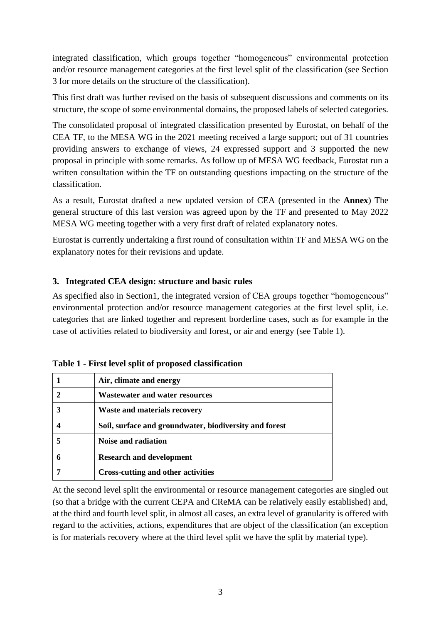integrated classification, which groups together "homogeneous" environmental protection and/or resource management categories at the first level split of the classification (see Section 3 for more details on the structure of the classification).

This first draft was further revised on the basis of subsequent discussions and comments on its structure, the scope of some environmental domains, the proposed labels of selected categories.

The consolidated proposal of integrated classification presented by Eurostat, on behalf of the CEA TF, to the MESA WG in the 2021 meeting received a large support; out of 31 countries providing answers to exchange of views, 24 expressed support and 3 supported the new proposal in principle with some remarks. As follow up of MESA WG feedback, Eurostat run a written consultation within the TF on outstanding questions impacting on the structure of the classification.

As a result, Eurostat drafted a new updated version of CEA (presented in the **Annex**) The general structure of this last version was agreed upon by the TF and presented to May 2022 MESA WG meeting together with a very first draft of related explanatory notes.

Eurostat is currently undertaking a first round of consultation within TF and MESA WG on the explanatory notes for their revisions and update.

#### **3. Integrated CEA design: structure and basic rules**

As specified also in Section1, the integrated version of CEA groups together "homogeneous" environmental protection and/or resource management categories at the first level split, i.e. categories that are linked together and represent borderline cases, such as for example in the case of activities related to biodiversity and forest, or air and energy (see Table 1).

| Air, climate and energy                                |
|--------------------------------------------------------|
| <b>Wastewater and water resources</b>                  |
| <b>Waste and materials recovery</b>                    |
| Soil, surface and groundwater, biodiversity and forest |
| Noise and radiation                                    |
| <b>Research and development</b>                        |
| Cross-cutting and other activities                     |

**Table 1 - First level split of proposed classification**

At the second level split the environmental or resource management categories are singled out (so that a bridge with the current CEPA and CReMA can be relatively easily established) and, at the third and fourth level split, in almost all cases, an extra level of granularity is offered with regard to the activities, actions, expenditures that are object of the classification (an exception is for materials recovery where at the third level split we have the split by material type).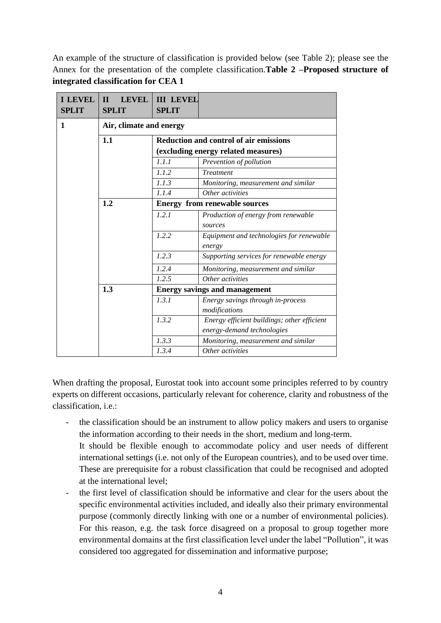An example of the structure of classification is provided below (see Table 2); please see the Annex for the presentation of the complete classification.**Table 2 –Proposed structure of integrated classification for CEA 1**

| <b>I LEVEL</b><br><b>SPLIT</b> | <b>LEVEL</b><br>$\mathbf{H}$<br><b>SPLIT</b> | <b>III LEVEL</b><br><b>SPLIT</b>                                           |                                                    |  |  |
|--------------------------------|----------------------------------------------|----------------------------------------------------------------------------|----------------------------------------------------|--|--|
| 1                              | Air, climate and energy                      |                                                                            |                                                    |  |  |
|                                | 1.1                                          | <b>Reduction and control of air emissions</b>                              |                                                    |  |  |
|                                |                                              | (excluding energy related measures)                                        |                                                    |  |  |
|                                |                                              | 1.1.1                                                                      | Prevention of pollution                            |  |  |
|                                |                                              | 1.1.2                                                                      | <b>Treatment</b>                                   |  |  |
|                                |                                              | 1.1.3                                                                      | Monitoring, measurement and similar                |  |  |
|                                | 1.1.4                                        |                                                                            | Other activities                                   |  |  |
|                                | 1.2                                          | <b>Energy from renewable sources</b>                                       |                                                    |  |  |
|                                |                                              | 1.2.1                                                                      | Production of energy from renewable                |  |  |
|                                |                                              |                                                                            | sources                                            |  |  |
|                                |                                              | 1.2.2                                                                      | Equipment and technologies for renewable<br>energy |  |  |
|                                |                                              | 1.2.3                                                                      | Supporting services for renewable energy           |  |  |
|                                |                                              | 1.2.4                                                                      | Monitoring, measurement and similar                |  |  |
|                                |                                              | 1.2.5                                                                      | Other activities                                   |  |  |
|                                | 1.3                                          | <b>Energy savings and management</b>                                       |                                                    |  |  |
|                                | 1.3.1                                        |                                                                            | Energy savings through in-process                  |  |  |
|                                |                                              |                                                                            | modifications                                      |  |  |
|                                |                                              | 1.3.2                                                                      | Energy efficient buildings; other efficient        |  |  |
|                                |                                              | energy-demand technologies<br>1.3.3<br>Monitoring, measurement and similar |                                                    |  |  |
|                                |                                              |                                                                            |                                                    |  |  |
|                                |                                              | 1.3.4                                                                      | Other activities                                   |  |  |

When drafting the proposal, Eurostat took into account some principles referred to by country experts on different occasions, particularly relevant for coherence, clarity and robustness of the classification, i.e.:

- the classification should be an instrument to allow policy makers and users to organise the information according to their needs in the short, medium and long-term.
	- It should be flexible enough to accommodate policy and user needs of different international settings (i.e. not only of the European countries), and to be used over time. These are prerequisite for a robust classification that could be recognised and adopted at the international level;
- the first level of classification should be informative and clear for the users about the specific environmental activities included, and ideally also their primary environmental purpose (commonly directly linking with one or a number of environmental policies). For this reason, e.g. the task force disagreed on a proposal to group together more environmental domains at the first classification level under the label "Pollution", it was considered too aggregated for dissemination and informative purpose;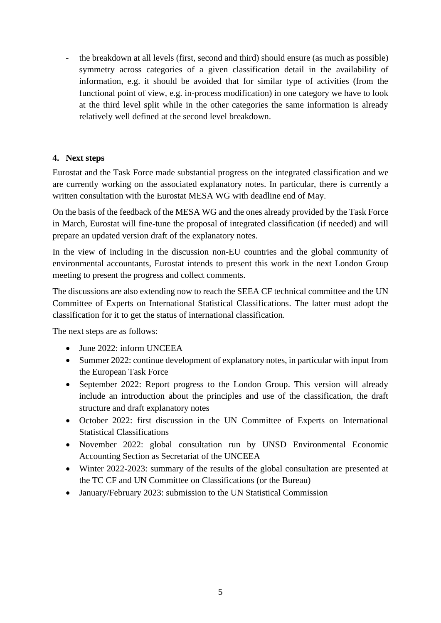- the breakdown at all levels (first, second and third) should ensure (as much as possible) symmetry across categories of a given classification detail in the availability of information, e.g. it should be avoided that for similar type of activities (from the functional point of view, e.g. in-process modification) in one category we have to look at the third level split while in the other categories the same information is already relatively well defined at the second level breakdown.

#### **4. Next steps**

Eurostat and the Task Force made substantial progress on the integrated classification and we are currently working on the associated explanatory notes. In particular, there is currently a written consultation with the Eurostat MESA WG with deadline end of May.

On the basis of the feedback of the MESA WG and the ones already provided by the Task Force in March, Eurostat will fine-tune the proposal of integrated classification (if needed) and will prepare an updated version draft of the explanatory notes.

In the view of including in the discussion non-EU countries and the global community of environmental accountants, Eurostat intends to present this work in the next London Group meeting to present the progress and collect comments.

The discussions are also extending now to reach the SEEA CF technical committee and the UN Committee of Experts on International Statistical Classifications. The latter must adopt the classification for it to get the status of international classification.

The next steps are as follows:

- June 2022: inform UNCEEA
- Summer 2022: continue development of explanatory notes, in particular with input from the European Task Force
- September 2022: Report progress to the London Group. This version will already include an introduction about the principles and use of the classification, the draft structure and draft explanatory notes
- October 2022: first discussion in the UN Committee of Experts on International Statistical Classifications
- November 2022: global consultation run by UNSD Environmental Economic Accounting Section as Secretariat of the UNCEEA
- Winter 2022-2023: summary of the results of the global consultation are presented at the TC CF and UN Committee on Classifications (or the Bureau)
- January/February 2023: submission to the UN Statistical Commission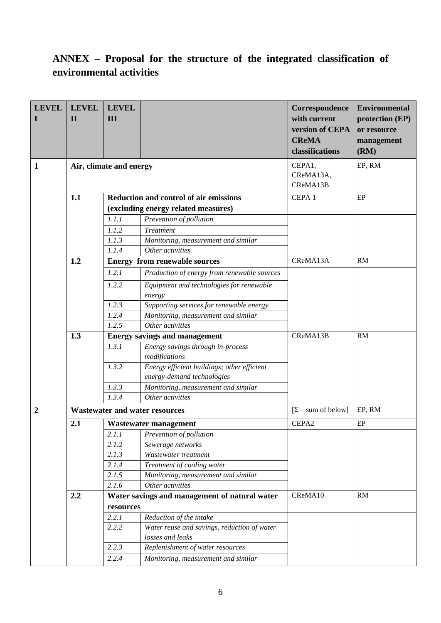## **ANNEX – Proposal for the structure of the integrated classification of environmental activities**

| <b>LEVEL</b><br>п | <b>LEVEL</b><br>$\mathbf{I}$                                                                | <b>LEVEL</b><br>III                  |                                                    | Correspondence<br>with current<br>version of CEPA<br><b>CReMA</b> | <b>Environmental</b><br>protection (EP)<br>or resource |
|-------------------|---------------------------------------------------------------------------------------------|--------------------------------------|----------------------------------------------------|-------------------------------------------------------------------|--------------------------------------------------------|
|                   |                                                                                             |                                      |                                                    | classifications                                                   | management<br>(RM)                                     |
| 1                 |                                                                                             | Air, climate and energy              |                                                    | CEPA1,<br>CReMA13A,<br>CReMA13B                                   | EP, RM                                                 |
|                   | 1.1<br><b>Reduction and control of air emissions</b><br>(excluding energy related measures) |                                      |                                                    | CEPA <sub>1</sub>                                                 | EP                                                     |
|                   |                                                                                             |                                      |                                                    |                                                                   |                                                        |
|                   |                                                                                             | 1.1.1                                | Prevention of pollution                            |                                                                   |                                                        |
|                   |                                                                                             | 1.1.2                                | <b>Treatment</b>                                   |                                                                   |                                                        |
|                   |                                                                                             | 1.1.3                                | Monitoring, measurement and similar                |                                                                   |                                                        |
|                   |                                                                                             | 1.1.4                                | Other activities                                   |                                                                   |                                                        |
|                   | 1.2                                                                                         |                                      | <b>Energy from renewable sources</b>               | CReMA13A                                                          | RM                                                     |
|                   |                                                                                             | 1.2.1                                | Production of energy from renewable sources        |                                                                   |                                                        |
|                   |                                                                                             | 1.2.2                                | Equipment and technologies for renewable           |                                                                   |                                                        |
|                   |                                                                                             |                                      | energy                                             |                                                                   |                                                        |
|                   |                                                                                             | 1.2.3                                | Supporting services for renewable energy           |                                                                   |                                                        |
|                   |                                                                                             | 1.2.4                                | Monitoring, measurement and similar                |                                                                   |                                                        |
|                   |                                                                                             | 1.2.5                                | Other activities                                   |                                                                   |                                                        |
|                   | 1.3                                                                                         | <b>Energy savings and management</b> |                                                    | CReMA13B                                                          | RM                                                     |
|                   |                                                                                             | 1.3.1                                | Energy savings through in-process<br>modifications |                                                                   |                                                        |
|                   |                                                                                             | 1.3.2                                | Energy efficient buildings; other efficient        |                                                                   |                                                        |
|                   |                                                                                             |                                      | energy-demand technologies                         |                                                                   |                                                        |
|                   |                                                                                             | 1.3.3                                | Monitoring, measurement and similar                |                                                                   |                                                        |
|                   |                                                                                             | 1.3.4                                | Other activities                                   |                                                                   |                                                        |
| $\boldsymbol{2}$  | <b>Wastewater and water resources</b>                                                       |                                      |                                                    | $[\Sigma - \text{sum of below}]$                                  | EP, RM                                                 |
|                   | 2.1                                                                                         |                                      | Wastewater management                              | CEPA2                                                             | EP                                                     |
|                   |                                                                                             | 2.1.1                                | Prevention of pollution                            |                                                                   |                                                        |
|                   |                                                                                             | 2.1.2                                | Sewerage networks                                  |                                                                   |                                                        |
|                   |                                                                                             | 2.1.3                                | Wastewater treatment                               |                                                                   |                                                        |
|                   |                                                                                             | 2.1.4                                | Treatment of cooling water                         |                                                                   |                                                        |
|                   |                                                                                             | 2.1.5                                | Monitoring, measurement and similar                |                                                                   |                                                        |
|                   |                                                                                             | 2.1.6                                | Other activities                                   |                                                                   |                                                        |
|                   | 2.2                                                                                         |                                      | Water savings and management of natural water      | CReMA10                                                           | RM                                                     |
|                   | resources                                                                                   |                                      |                                                    |                                                                   |                                                        |
|                   |                                                                                             | 2.2.1                                | Reduction of the intake                            |                                                                   |                                                        |
|                   |                                                                                             | 2.2.2                                | Water reuse and savings, reduction of water        |                                                                   |                                                        |
|                   |                                                                                             |                                      | losses and leaks                                   |                                                                   |                                                        |
|                   |                                                                                             | 2.2.3                                | Replenishment of water resources                   |                                                                   |                                                        |
|                   |                                                                                             | 2.2.4                                | Monitoring, measurement and similar                |                                                                   |                                                        |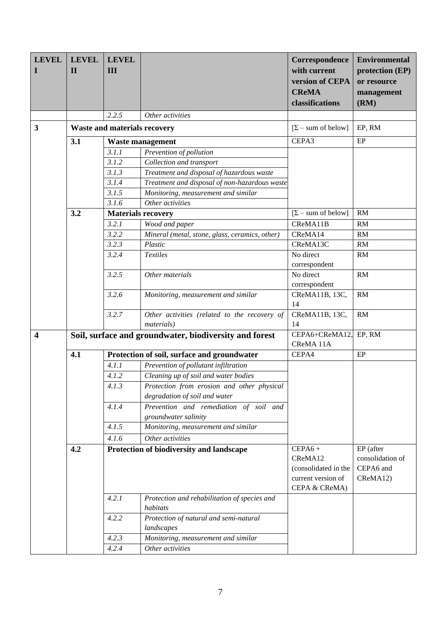| <b>LEVEL</b><br>I       | <b>LEVEL</b><br>$\mathbf{I}$ | <b>LEVEL</b><br>III                 |                                                                             | Correspondence<br>with current<br>version of CEPA<br><b>CReMA</b><br>classifications | <b>Environmental</b><br>protection (EP)<br>or resource<br>management<br>(RM) |
|-------------------------|------------------------------|-------------------------------------|-----------------------------------------------------------------------------|--------------------------------------------------------------------------------------|------------------------------------------------------------------------------|
|                         |                              | 2.2.5                               | Other activities                                                            |                                                                                      |                                                                              |
| 3                       |                              | <b>Waste and materials recovery</b> |                                                                             | $[\Sigma - \text{sum of below}]$                                                     | EP, RM                                                                       |
|                         | 3.1                          |                                     | Waste management                                                            | CEPA3                                                                                | $\rm EP$                                                                     |
|                         |                              | 3.1.1                               | Prevention of pollution                                                     |                                                                                      |                                                                              |
|                         |                              | 3.1.2                               | Collection and transport                                                    |                                                                                      |                                                                              |
|                         |                              | 3.1.3                               | Treatment and disposal of hazardous waste                                   |                                                                                      |                                                                              |
|                         |                              | 3.1.4                               | Treatment and disposal of non-hazardous waste                               |                                                                                      |                                                                              |
|                         |                              | 3.1.5                               | Monitoring, measurement and similar                                         |                                                                                      |                                                                              |
|                         |                              | 3.1.6                               | Other activities                                                            |                                                                                      |                                                                              |
|                         | 3.2                          |                                     | <b>Materials recovery</b>                                                   | $[\Sigma - \text{sum of below}]$                                                     | RM                                                                           |
|                         |                              | 3.2.1                               | Wood and paper                                                              | CReMA11B                                                                             | RM                                                                           |
|                         |                              | 3.2.2                               | Mineral (metal, stone, glass, ceramics, other)                              | CReMA14                                                                              | RM                                                                           |
|                         |                              | 3.2.3                               | Plastic                                                                     | CReMA13C                                                                             | RM                                                                           |
|                         |                              | 3.2.4                               | <b>Textiles</b>                                                             | No direct                                                                            | RM                                                                           |
|                         |                              |                                     |                                                                             | correspondent                                                                        |                                                                              |
|                         |                              | 3.2.5                               | Other materials                                                             | No direct<br>correspondent                                                           | RM                                                                           |
|                         |                              | 3.2.6                               | Monitoring, measurement and similar                                         | CReMA11B, 13C,<br>14                                                                 | RM                                                                           |
|                         |                              | 3.2.7                               | Other activities (related to the recovery of<br><i>materials</i> )          | CReMA11B, 13C,<br>14                                                                 | RM                                                                           |
| $\overline{\mathbf{4}}$ |                              |                                     | Soil, surface and groundwater, biodiversity and forest                      | CEPA6+CReMA12,<br>CReMA 11A                                                          | EP, RM                                                                       |
|                         | 4.1                          |                                     | Protection of soil, surface and groundwater                                 | CEPA4                                                                                | EP                                                                           |
|                         |                              | 4.1.1                               | Prevention of pollutant infiltration                                        |                                                                                      |                                                                              |
|                         |                              | 4.1.2                               | Cleaning up of soil and water bodies                                        |                                                                                      |                                                                              |
|                         |                              | 4.1.3                               | Protection from erosion and other physical<br>degradation of soil and water |                                                                                      |                                                                              |
|                         |                              | 4.1.4                               | Prevention and remediation of soil and<br>groundwater salinity              |                                                                                      |                                                                              |
|                         |                              | 4.1.5                               | Monitoring, measurement and similar                                         |                                                                                      |                                                                              |
|                         |                              | 4.1.6                               | Other activities                                                            |                                                                                      |                                                                              |
|                         | 4.2                          |                                     | Protection of biodiversity and landscape                                    | $CEPA6 +$                                                                            | EP (after                                                                    |
|                         |                              |                                     |                                                                             | CReMA12<br>(consolidated in the<br>current version of<br>CEPA & CReMA)               | consolidation of<br>CEPA6 and<br>CReMA12)                                    |
|                         |                              | 4.2.1                               | Protection and rehabilitation of species and<br>habitats                    |                                                                                      |                                                                              |
|                         |                              | 4.2.2                               | Protection of natural and semi-natural                                      |                                                                                      |                                                                              |
|                         |                              |                                     | landscapes                                                                  |                                                                                      |                                                                              |
|                         |                              | 4.2.3                               | Monitoring, measurement and similar                                         |                                                                                      |                                                                              |
|                         |                              | 4.2.4                               | Other activities                                                            |                                                                                      |                                                                              |